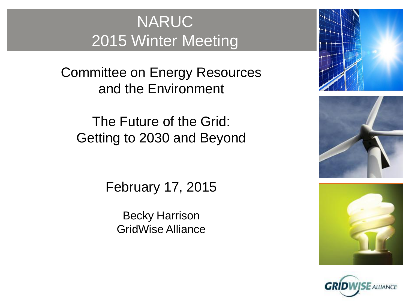### NARUC 2015 Winter Meeting

Committee on Energy Resources and the Environment

The Future of the Grid: Getting to 2030 and Beyond

February 17, 2015

Becky Harrison GridWise Alliance







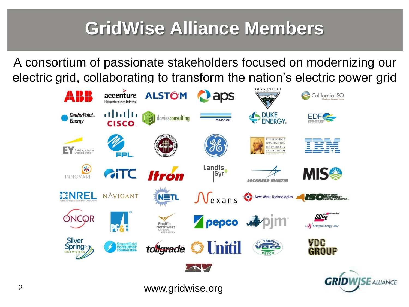# **GridWise Alliance Members**

A consortium of passionate stakeholders focused on modernizing our electric grid, collaborating to transform the nation's electric power grid



 $E$  AIIIANCE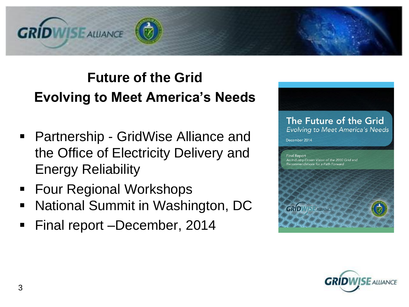

#### **Future of the Grid Evolving to Meet America's Needs**

- Partnership GridWise Alliance and the Office of Electricity Delivery and Energy Reliability
- Four Regional Workshops
- National Summit in Washington, DC
- **Final report –December, 2014**



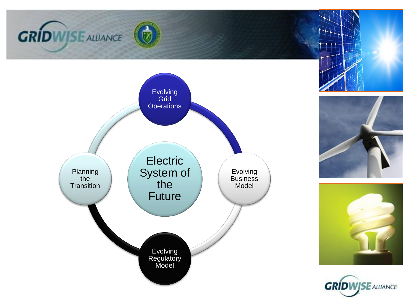









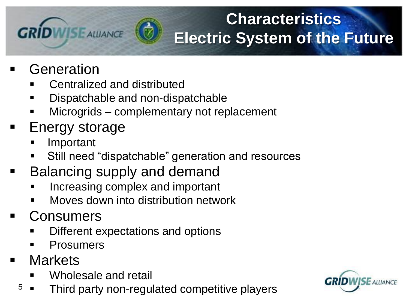# **Characteristics Electric System of the Future**

- Generation
	- Centralized and distributed
	- Dispatchable and non-dispatchable
	- Microgrids complementary not replacement
- Energy storage

**GRÍDWISE ALUANCE** 

- Important
- Still need "dispatchable" generation and resources
- Balancing supply and demand
	- Increasing complex and important
	- Moves down into distribution network
- Consumers
	- Different expectations and options
	- **Prosumers**
- **Markets** 
	- Wholesale and retail
	- $5 \bullet$  Third party non-regulated competitive players

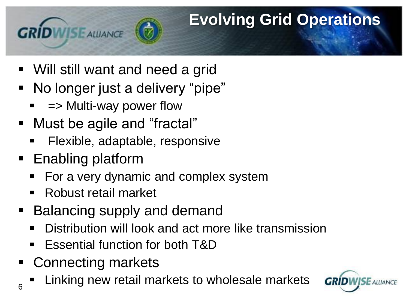# **Evolving Grid Operations**

- Will still want and need a grid
- No longer just a delivery "pipe"
	- => Multi-way power flow
- Must be agile and "fractal"
	- Flexible, adaptable, responsive
- Enabling platform

**GRÍDWISE ALLIANCE** 

- For a very dynamic and complex system
- Robust retail market
- Balancing supply and demand
	- Distribution will look and act more like transmission
	- Essential function for both T&D
- Connecting markets
- $\frac{1}{6}$  Linking new retail markets to wholesale markets

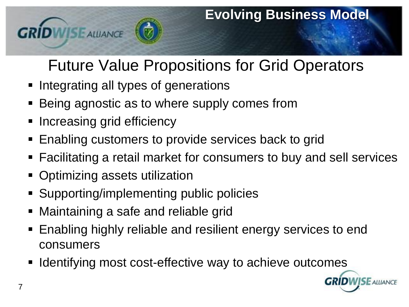

## Future Value Propositions for Grid Operators

- **Integrating all types of generations**
- Being agnostic as to where supply comes from
- Increasing grid efficiency
- **Enabling customers to provide services back to grid**
- Facilitating a retail market for consumers to buy and sell services
- Optimizing assets utilization
- Supporting/implementing public policies
- Maintaining a safe and reliable grid
- Enabling highly reliable and resilient energy services to end consumers
- Identifying most cost-effective way to achieve outcomes

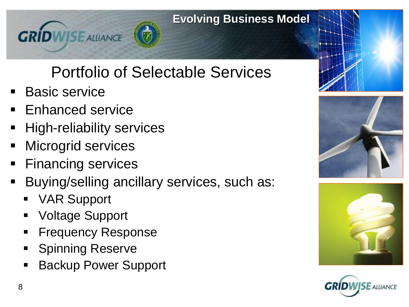

# Portfolio of Selectable Services

- Basic service
- Enhanced service
- **High-reliability services**
- Microgrid services
- **Financing services**
- Buying/selling ancillary services, such as:
	- VAR Support
	- Voltage Support
	- Frequency Response
	- **Spinning Reserve**
	- Backup Power Support







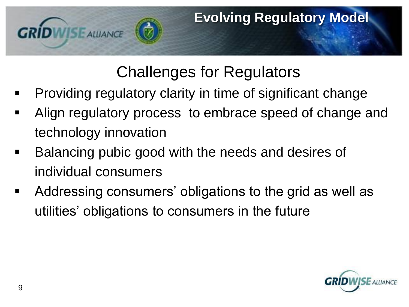

### Challenges for Regulators

- Providing regulatory clarity in time of significant change
- Align regulatory process to embrace speed of change and technology innovation
- **Balancing pubic good with the needs and desires of** individual consumers
- Addressing consumers' obligations to the grid as well as utilities' obligations to consumers in the future

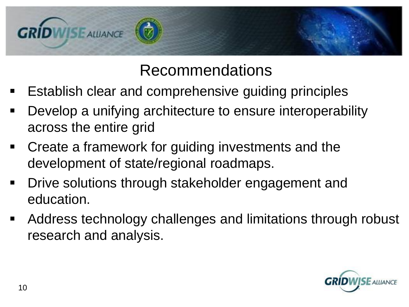

### Recommendations

- **E** Establish clear and comprehensive guiding principles
- **Develop a unifying architecture to ensure interoperability** across the entire grid
- Create a framework for guiding investments and the development of state/regional roadmaps.
- **-** Drive solutions through stakeholder engagement and education.
- Address technology challenges and limitations through robust research and analysis.